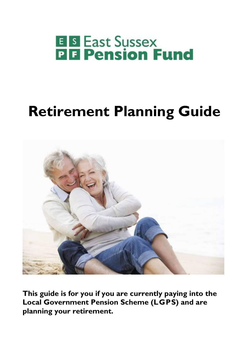# **E B** East Sussex<br>**PH** Pension Fund

## **Retirement Planning Guide**



**This guide is for you if you are currently paying into the Local Government Pension Scheme (LGPS) and are planning your retirement.**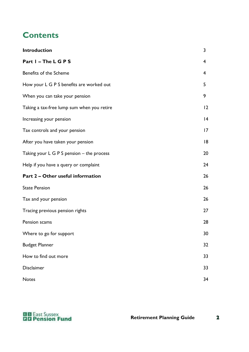## **Contents**

| Introduction                                | 3              |
|---------------------------------------------|----------------|
| Part I - The L G P S                        | $\overline{4}$ |
| Benefits of the Scheme                      | $\overline{4}$ |
| How your L G P S benefits are worked out    | 5              |
| When you can take your pension              | 9              |
| Taking a tax-free lump sum when you retire  | 12             |
| Increasing your pension                     | 4              |
| Tax controls and your pension               | 17             |
| After you have taken your pension           | 18             |
| Taking your $L G P S$ pension – the process | 20             |
| Help if you have a query or complaint       | 24             |
| Part 2 - Other useful information           | 26             |
| <b>State Pension</b>                        | 26             |
| Tax and your pension                        | 26             |
| Tracing previous pension rights             | 27             |
| Pension scams                               | 28             |
| Where to go for support                     | 30             |
| <b>Budget Planner</b>                       | 32             |
| How to find out more                        | 33             |
| Disclaimer                                  | 33             |
| <b>Notes</b>                                | 34             |



 $\mathbf{z}$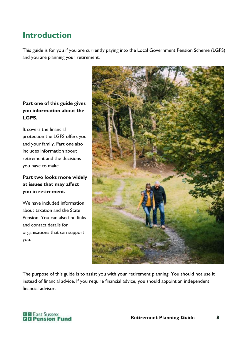## **Introduction**

This guide is for you if you are currently paying into the Local Government Pension Scheme (LGPS) and you are planning your retirement.

#### **Part one of this guide gives you information about the LGPS.**

It covers the financial protection the LGPS offers you and your family. Part one also includes information about retirement and the decisions you have to make.

#### **Part two looks more widely at issues that may affect you in retirement.**

We have included information about taxation and the State Pension. You can also find links and contact details for organisations that can support you.



The purpose of this guide is to assist you with your retirement planning. You should not use it instead of financial advice. If you require financial advice, you should appoint an independent financial advisor.

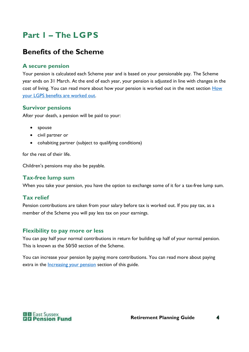## **Part 1 – The LGPS**

## **Benefits of the Scheme**

#### **A secure pension**

Your pension is calculated each Scheme year and is based on your pensionable pay. The Scheme year ends on 31 March. At the end of each year, your pension is adjusted in line with changes in the cost of living. You can read more about how your pension is worked out in the next section **How** your LGPS [benefits are worked out.](#page-5-0)

#### **Survivor pensions**

After your death, a pension will be paid to your:

- spouse
- civil partner or
- cohabiting partner (subject to qualifying conditions)

for the rest of their life.

Children's pensions may also be payable.

#### **Tax-free lump sum**

When you take your pension, you have the option to exchange some of it for a tax-free lump sum.

#### **Tax relief**

Pension contributions are taken from your salary before tax is worked out. If you pay tax, as a member of the Scheme you will pay less tax on your earnings.

#### **Flexibility to pay more or less**

You can pay half your normal contributions in return for building up half of your normal pension. This is known as the 50/50 section of the Scheme.

You can increase your pension by paying more contributions. You can read more about paying extra in the *Increasing your pension* section of this guide.

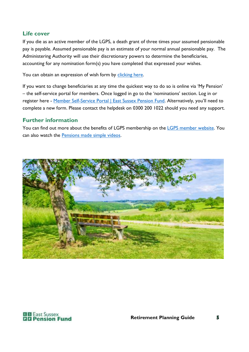#### **Life cover**

If you die as an active member of the LGPS, a death grant of three times your assumed pensionable pay is payable. Assumed pensionable pay is an estimate of your normal annual pensionable pay. The Administering Authority will use their discretionary powers to determine the beneficiaries, accounting for any nomination form(s) you have completed that expressed your wishes.

You can obtain an expression of wish form by [clicking here.](https://www.eastsussexpensionfund.org/media/3ebhwrgo/lgps-dg1-death-grant-expression-of-wish-form-accessible.docx)

If you want to change beneficiaries at any time the quickest way to do so is online via 'My Pension' – the self-service portal for members. Once logged in go to the 'nominations' section. Log in or register here - [Member Self-Service Portal | East Sussex Pension Fund](https://www.eastsussexpensionfund.org/help-support/my-pension-member-self-service-portal/). Alternatively, you'll need to complete a new form. Please contact the helpdesk on 0300 200 1022 should you need any support.

#### **Further information**

You can find out more about the benefits of LGPS membership on the [LGPS member website.](http://www.lgpsmember.org/) You can also watch the **Pensions** made simple videos.



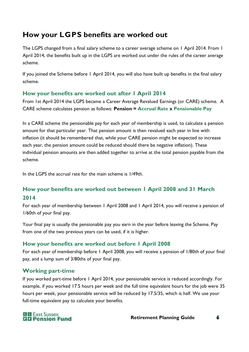## <span id="page-5-0"></span>**How your LGPS benefits are worked out**

The LGPS changed from a final salary scheme to a career average scheme on 1 April 2014. From 1 April 2014, the benefits built up in the LGPS are worked out under the rules of the career average scheme.

If you joined the Scheme before 1 April 2014, you will also have built up benefits in the final salary scheme.

#### **How your benefits are worked out after 1 April 2014**

From 1st April 2014 the LGPS became a Career Average Revalued Earnings (or CARE) scheme. A CARE scheme calculates pension as follows: **Pension = Accrual Rate x Pensionable Pay**

In a CARE scheme the pensionable pay for each year of membership is used, to calculate a pension amount for that particular year. That pension amount is then revalued each year in line with inflation (it should be remembered that, while your CARE pension might be expected to increase each year, the pension amount could be reduced should there be negative inflation). These individual pension amounts are then added together to arrive at the total pension payable from the scheme.

In the LGPS the accrual rate for the main scheme is 1/49th.

#### **How your benefits are worked out between 1 April 2008 and 31 March 2014**

For each year of membership between 1 April 2008 and 1 April 2014, you will receive a pension of 1/60th of your final pay.

Your final pay is usually the pensionable pay you earn in the year before leaving the Scheme. Pay from one of the two previous years can be used, if it is higher.

#### **How your benefits are worked out before 1 April 2008**

For each year of membership before 1 April 2008, you will receive a pension of 1/80th of your final pay, and a lump sum of 3/80ths of your final pay.

#### **Working part-time**

If you worked part-time before 1 April 2014, your pensionable service is reduced accordingly. For example, if you worked 17.5 hours per week and the full time equivalent hours for the job were 35 hours per week, your pensionable service will be reduced by 17.5/35, which is half. We use your full-time equivalent pay to calculate your benefits.

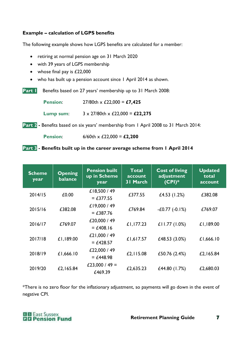#### **Example – calculation of LGPS benefits**

The following example shows how LGPS benefits are calculated for a member:

- retiring at normal pension age on 31 March 2020
- with 39 years of LGPS membership
- whose final pay is £22,000
- who has built up a pension account since 1 April 2014 as shown.

**Part 1** Benefits based on 27 years' membership up to 31 March 2008:

**Pension**: 27/80th x £22,000 = **£7,425**

**Lump sum**: 3 x 27/80th x £22,000 = **£22,275**

**Part 2 -** Benefits based on six years' membership from 1 April 2008 to 31 March 2014:

**Pension**: 6/60th x £22,000 = **£2,200**

#### **Part 3 - Benefits built up in the career average scheme from 1 April 2014**

| <b>Scheme</b><br>year | <b>Opening</b><br>balance | <b>Pension built</b><br>up in Scheme<br>year | <b>Total</b><br>account<br>31 March | <b>Cost of living</b><br>adjustment<br>$(CPI)*$ | <b>Updated</b><br>total<br>account |
|-----------------------|---------------------------|----------------------------------------------|-------------------------------------|-------------------------------------------------|------------------------------------|
| 2014/15               | £0.00                     | £18,500 / 49<br>$=$ £377.55                  | £377.55                             | £4.53 $(1.2%)$                                  | £382.08                            |
| 2015/16               | £382.08                   | £19,000 / 49<br>$=$ £387.76                  | £769.84                             | $-£0.77(-0.1%)$                                 | £769.07                            |
| 2016/17               | £769.07                   | £20,000 / 49<br>$=$ £408.16                  | £1,177.23                           | £11.77 $(1.0%)$                                 | £1,189.00                          |
| 2017/18               | £1,189.00                 | £21,000 / 49<br>$=$ £428.57                  | £1,617.57                           | £48.53 (3.0%)                                   | £1,666.10                          |
| 2018/19               | £1,666.10                 | £22,000 / 49<br>$= £448.98$                  | £2,115.08                           | £50.76 (2.4%)                                   | £2,165.84                          |
| 2019/20               | £2,165.84                 | £23,000 / 49 =<br>£469.39                    | £2,635.23                           | £44.80 (1.7%)                                   | £2,680.03                          |

\*There is no zero floor for the inflationary adjustment, so payments will go down in the event of negative CPI.

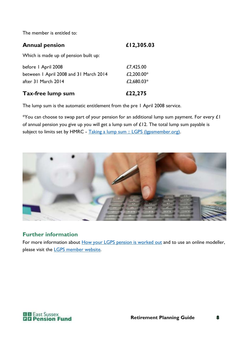The member is entitled to:

| <b>Annual pension</b> | £12,305.03 |
|-----------------------|------------|
|                       |            |

Which is made up of pension built up:

| £2,680.03*    |
|---------------|
|               |
| £2,200.00 $*$ |
| £7,425.00     |
|               |

The lump sum is the automatic entitlement from the pre 1 April 2008 service.

\*You can choose to swap part of your pension for an additional lump sum payment. For every  $\pounds I$ of annual pension you give up you will get a lump sum of  $£12$ . The total lump sum payable is subject to limits set by HMRC - Taking a lump sum :: LGPS (Igpsmember.org).



#### **Further information**

For more information about **How your LGPS** pension is worked out and to use an online modeller, please visit the [LGPS member website.](http://www.lgpsmember.org/)

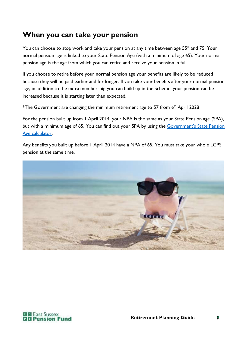## **When you can take your pension**

You can choose to stop work and take your pension at any time between age 55\* and 75. Your normal pension age is linked to your [State Pension Age](https://www.eastsussexpensionfund.org/glossary/#state-pension-age) (with a minimum of age 65). Your normal pension age is the age from which you can retire and receive your pension in full.

If you choose to retire before your [normal pension age](https://www.eastsussexpensionfund.org/glossary/#normal-pension-age) your benefits are likely to be reduced because they will be paid earlier and for longer. If you take your benefits after your normal pension age, in addition to the extra membership you can build up in the Scheme, your pension can be increased because it is starting later than expected.

<sup>\*</sup>The Government are changing the minimum retirement age to 57 from  $6<sup>th</sup>$  April 2028

For the pension built up from 1 April 2014, your NPA is the same as your State Pension age (SPA), but with a minimum age of 65. You can find out your SPA by using the [Government's State Pension](http://www.gov.uk/calculate-state-pension)  [Age calculator.](http://www.gov.uk/calculate-state-pension)

Any benefits you built up before 1 April 2014 have a NPA of 65. You must take your whole LGPS pension at the same time.



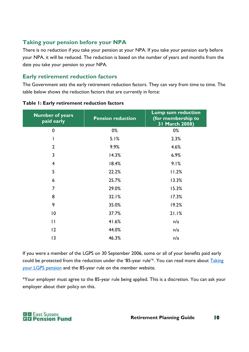#### **Taking your pension before your NPA**

There is no reduction if you take your pension at your NPA. If you take your pension early before your NPA, it will be reduced. The reduction is based on the number of years and months from the date you take your pension to your NPA.

#### **Early retirement reduction factors**

The Government sets the early retirement reduction factors. They can vary from time to time. The table below shows the reduction factors that are currently in force:

| <b>Pension reduction</b> | <b>Lump sum reduction</b><br>(for membership to<br>31 March 2008) |
|--------------------------|-------------------------------------------------------------------|
| $0\%$                    | 0%                                                                |
| 5.1%                     | 2.3%                                                              |
| 9.9%                     | 4.6%                                                              |
| 14.3%                    | 6.9%                                                              |
| 18.4%                    | 9.1%                                                              |
| 22.2%                    | 11.2%                                                             |
| 25.7%                    | 13.3%                                                             |
| 29.0%                    | 15.3%                                                             |
| 32.1%                    | 17.3%                                                             |
| 35.0%                    | 19.2%                                                             |
| 37.7%                    | 21.1%                                                             |
| 41.6%                    | n/a                                                               |
| 44.0%                    | n/a                                                               |
| 46.3%                    | n/a                                                               |
|                          |                                                                   |

#### **Table 1: Early retirement reduction factors**

If you were a member of the LGPS on 30 September 2006, some or all of your benefits paid early could be protected from the reduction under the '85-year rule'\*. You can read more about Taking [your LGPS pension](https://www.lgpsmember.org/your-pension/planning/taking-your-pension/) and the 85-year rule on the member website.

\*Your employer must agree to the 85-year rule being applied. This is a discretion. You can ask your employer about their policy on this.

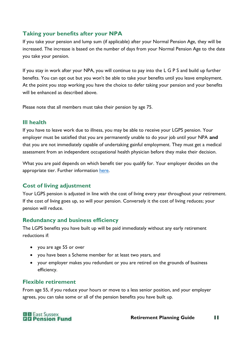#### **Taking your benefits after your NPA**

If you take your pension and lump sum (if applicable) after your Normal Pension Age, they will be increased. The increase is based on the number of days from your Normal Pension Age to the date you take your pension.

If you stay in work after your NPA, you will continue to pay into the L G P S and build up further benefits. You can opt out but you won't be able to take your benefits until you leave employment. At the point you stop working you have the choice to defer taking your pension and your benefits will be enhanced as described above.

Please note that all members must take their pension by age 75.

#### **Ill health**

If you have to leave work due to illness, you may be able to receive your LGPS pension. Your employer must be satisfied that you are permanently unable to do your job until your NPA **and** that you are not immediately capable of undertaking gainful employment. They must get a medical assessment from an independent occupational health physician before they make their decision.

What you are paid depends on which benefit tier you qualify for. Your employer decides on the appropriate tier. Further information [here.](https://www.lgpsmember.org/your-pension/planning/ill-health-retirement/#ill-health-retirement-and-paying-extra)

#### **Cost of living adjustment**

Your LGPS pension is adjusted in line with the cost of living every year throughout your retirement. If the cost of living goes up, so will your pension. Conversely it the cost of living reduces; your pension will reduce.

#### **Redundancy and business efficiency**

The LGPS benefits you have built up will be paid immediately without any early retirement reductions if:

- you are age 55 or over
- you have been a Scheme member for at least two years, and
- your employer makes you redundant or you are retired on the grounds of business efficiency.

#### **Flexible retirement**

From age 55, if you reduce your hours or move to a less senior position, and your employer agrees, you can take some or all of the pension benefits you have built up.

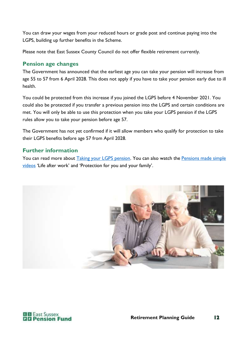You can draw your wages from your reduced hours or grade post and continue paying into the LGPS, building up further benefits in the Scheme.

Please note that East Sussex County Council do not offer flexible retirement currently.

#### **Pension age changes**

The Government has announced that the earliest age you can take your pension will increase from age 55 to 57 from 6 April 2028. This does not apply if you have to take your pension early due to ill health.

You could be protected from this increase if you joined the LGPS before 4 November 2021. You could also be protected if you transfer a previous pension into the LGPS and certain conditions are met. You will only be able to use this protection when you take your LGPS pension if the LGPS rules allow you to take your pension before age 57.

The Government has not yet confirmed if it will allow members who qualify for protection to take their LGPS benefits before age 57 from April 2028.

#### **Further information**

You can read more about [Taking your LGPS pension.](https://www.lgpsmember.org/your-pension/planning/taking-your-pension/) You can also watch the [Pensions made simple](https://www.lgpsmember.org/help-and-support/videos/)  [videos](https://www.lgpsmember.org/help-and-support/videos/) 'Life after work' and 'Protection for you and your family'.



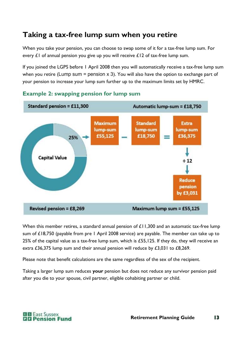## **Taking a tax-free lump sum when you retire**

When you take your pension, you can choose to swap some of it for a tax-free lump sum. For every  $E1$  of annual pension you give up you will receive  $E12$  of tax-free lump sum.

If you joined the LGPS before 1 April 2008 then you will automatically receive a tax-free lump sum when you retire (Lump sum = pension x 3). You will also have the option to exchange part of your pension to increase your lump sum further up to the maximum limits set by HMRC.



#### **Example 2: swapping pension for lump sum**

When this member retires, a standard annual pension of £11,300 and an automatic tax-free lump sum of £18,750 (payable from pre 1 April 2008 service) are payable. The member can take up to 25% of the capital value as a tax-free lump sum, which is £55,125. If they do, they will receive an extra £36,375 lump sum and their annual pension will reduce by £3,031 to £8,269.

Please note that benefit calculations are the same regardless of the sex of the recipient.

Taking a larger lump sum reduces **your** pension but does not reduce any survivor pension paid after you die to your spouse, civil partner, eligible cohabiting partner or child.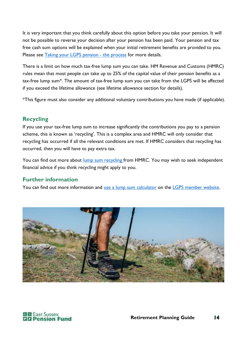It is very important that you think carefully about this option before you take your pension. It will not be possible to reverse your decision after your pension has been paid. Your pension and tax free cash sum options will be explained when your initial retirement benefits are provided to you. Please see [Taking your LGPS pension -](#page-19-0) the process for more details.

There is a limit on how much tax-free lump sum you can take. HM Revenue and Customs (HMRC) rules mean that most people can take up to 25% of the capital value of their pension benefits as a tax-free lump sum\*. The amount of tax-free lump sum you can take from the LGPS will be affected if you exceed the lifetime allowance (see lifetime allowance section for details).

\*This figure must also consider any additional voluntary contributions you have made (if applicable).

#### **Recycling**

If you use your tax-free lump sum to increase significantly the contributions you pay to a pension scheme, this is known as 'recycling'. This is a complex area and HMRC will only consider that recycling has occurred if all the relevant conditions are met. If HMRC considers that recycling has occurred, then you will have to pay extra tax.

You can find out more about [lump sum recycling f](http://www.gov.uk/hmrc-internal-manuals/pensions-tax-manual/ptm133800)rom HMRC. You may wish to seek independent financial advice if you think recycling might apply to you.

#### **Further information**

You can find out more information and [use a lump sum calculator](https://www.lgpsmember.org/help-and-support/tools-and-calculators/lump-sum-calculator/) on the [LGPS member website.](http://www.lgpsmember.org/)



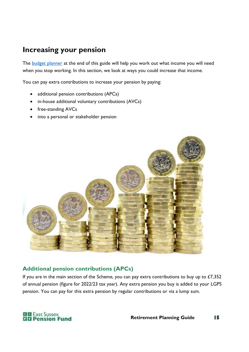## <span id="page-14-0"></span>**Increasing your pension**

The [budget planner](#page-31-0) at the end of this guide will help you work out what income you will need when you stop working. In this section, we look at ways you could increase that income.

You can pay extra contributions to increase your pension by paying:

- additional pension contributions (APCs)
- in-house additional voluntary contributions (AVCs)
- free-standing AVCs
- into a personal or stakeholder pension



#### **Additional pension contributions (APCs)**

If you are in the main section of the Scheme, you can pay extra contributions to buy up to  $£7,352$ of annual pension (figure for 2022/23 tax year). Any extra pension you buy is added to your LGPS pension. You can pay for this extra pension by regular contributions or via a lump sum.

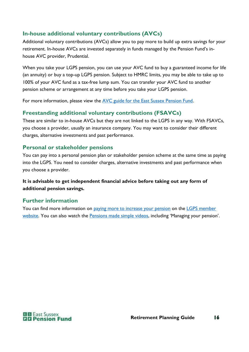#### **In-house additional voluntary contributions (AVCs)**

Additional voluntary contributions (AVCs) allow you to pay more to build up extra savings for your retirement. In-house AVCs are invested separately in funds managed by the Pension Fund's inhouse AVC provider, Prudential.

When you take your LGPS pension, you can use your AVC fund to buy a guaranteed income for life (an annuity) or buy a top-up LGPS pension. Subject to HMRC limits, you may be able to take up to 100% of your AVC fund as a tax-free lump sum. You can transfer your AVC fund to another pension scheme or arrangement at any time before you take your LGPS pension.

For more information, please view the [AVC guide for the East Sussex Pension Fund.](https://www.eastsussexpensionfund.org/media/uqjniy21/pru-avc-guide-for-the-espf-scheme.pdf)

#### **Freestanding additional voluntary contributions (FSAVCs)**

These are similar to in-house AVCs but they are not linked to the LGPS in any way. With FSAVCs, you choose a provider, usually an insurance company. You may want to consider their different charges, alternative investments and past performance.

#### **Personal or stakeholder pensions**

You can pay into a personal pension plan or stakeholder pension scheme at the same time as paying into the LGPS. You need to consider charges, alternative investments and past performance when you choose a provider.

#### **It is advisable to get independent financial advice before taking out any form of additional pension savings.**

#### **Further information**

You can find more information on [paying more to increase your pension](https://www.lgpsmember.org/your-pension/paying-in/paying-more/) on the LGPS member [website.](http://www.lgpsmember.org/) You can also watch the **Pensions made simple videos**, including 'Managing your pension'.

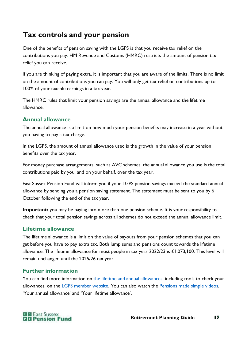## **Tax controls and your pension**

One of the benefits of pension saving with the LGPS is that you receive tax relief on the contributions you pay. HM Revenue and Customs (HMRC) restricts the amount of pension tax relief you can receive.

If you are thinking of paying extra, it is important that you are aware of the limits. There is no limit on the amount of contributions you can pay. You will only get tax relief on contributions up to 100% of your taxable earnings in a tax year.

The HMRC rules that limit your pension savings are the annual allowance and the lifetime allowance.

#### **Annual allowance**

The annual allowance is a limit on how much your pension benefits may increase in a year without you having to pay a tax charge.

In the LGPS, the amount of annual allowance used is the growth in the value of your pension benefits over the tax year.

For money purchase arrangements, such as AVC schemes, the annual allowance you use is the total contributions paid by you, and on your behalf, over the tax year.

East Sussex Pension Fund will inform you if your LGPS pension savings exceed the standard annual allowance by sending you a pension saving statement. The statement must be sent to you by 6 October following the end of the tax year.

**Important:** you may be paying into more than one pension scheme. It is your responsibility to check that your total pension savings across all schemes do not exceed the annual allowance limit.

#### **Lifetime allowance**

The lifetime allowance is a limit on the value of payouts from your pension schemes that you can get before you have to pay extra tax. Both lump sums and pensions count towards the lifetime allowance. The lifetime allowance for most people in tax year 2022/23 is £1,073,100. This level will remain unchanged until the 2025/26 tax year.

#### **Further information**

You can find more information on [the lifetime and annual allowances,](https://www.lgpsmember.org/your-pension/the-essentials/tax/) including tools to check your allowances, on the [LGPS member website.](http://www.lgpsmember.org/) You can also watch the [Pensions made simple videos,](https://www.lgpsmember.org/help-and-support/videos/) 'Your annual allowance' and 'Your lifetime allowance'.

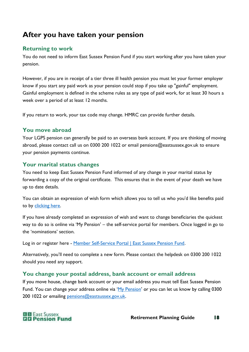## **After you have taken your pension**

#### **Returning to work**

You do not need to inform East Sussex Pension Fund if you start working after you have taken your pension.

However, if you are in receipt of a tier three ill health pension you must let your former employer know if you start any paid work as your pension could stop if you take up "gainful" employment. Gainful employment is defined in the scheme rules as any type of paid work, for at least 30 hours a week over a period of at least 12 months.

If you return to work, your tax code may change. HMRC can provide further details.

#### **You move abroad**

Your LGPS pension can generally be paid to an overseas bank account. If you are thinking of moving abroad, please contact call us on 0300 200 1022 or email pensions@eastsussex.gov.uk to ensure your pension payments continue.

#### **Your marital status changes**

You need to keep East Sussex Pension Fund informed of any change in your marital status by forwarding a copy of the original certificate. This ensures that in the event of your death we have up to date details.

You can obtain an expression of wish form which allows you to tell us who you'd like benefits paid to by [clicking here.](https://www.eastsussexpensionfund.org/media/3ebhwrgo/lgps-dg1-death-grant-expression-of-wish-form-accessible.docx)

If you have already completed an expression of wish and want to change beneficiaries the quickest way to do so is online via 'My Pension' – the self-service portal for members. Once logged in go to the 'nominations' section.

Log in or register here - [Member Self-Service Portal | East Sussex Pension Fund.](https://www.eastsussexpensionfund.org/help-support/my-pension-member-self-service-portal/)

Alternatively, you'll need to complete a new form. Please contact the helpdesk on 0300 200 1022 should you need any support.

#### **You change your postal address, bank account or email address**

If you move house, change bank account or your email address you must tell East Sussex Pension Fund. You can change your address online via '[My Pension](https://www.eastsussexpensionfund.org/help-support/my-pension-member-self-service-portal/)' or you can let us know by calling 0300 200 1022 or emailing [pensions@eastsussex.gov.uk.](mailto:pensions@eastsussex.gov.uk)

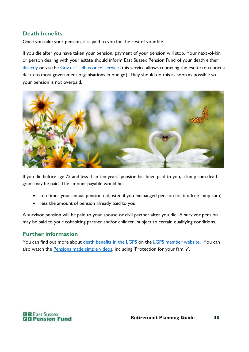#### **Death benefits**

Once you take your pension, it is paid to you for the rest of your life.

If you die after you have taken your pension, payment of your pension will stop. Your next-of-kin or person dealing with your estate should inform East Sussex Pension Fund of your death either [directly](https://www.eastsussexpensionfund.org/contact-us/) or via the [Gov.uk 'Tell us once' service](https://www.gov.uk/after-a-death/organisations-you-need-to-contact-and-tell-us-once) (this service allows reporting the estate to report a death to most government organisations in one go). They should do this as soon as possible so your pension is not overpaid.



If you die before age 75 and less than ten years' pension has been paid to you, a lump sum death grant may be paid. The amount payable would be:

- ten times your annual pension (adjusted if you exchanged pension for tax-free lump sum)
- less the amount of pension already paid to you.

A survivor pension will be paid to your spouse or civil partner after you die. A survivor pension may be paid to your cohabiting partner and/or children, subject to certain qualifying conditions.

#### **Further information**

You can find out more about [death benefits in the LGPS](https://www.lgpsmember.org/help-and-support/frequently-asked-questions/?faq-type=after-you-die) on the [LGPS member website.](http://www.lgpsmember.org/) You can also watch the [Pensions made simple videos](https://www.lgpsmember.org/help-and-support/videos/), including 'Protection for your family'.

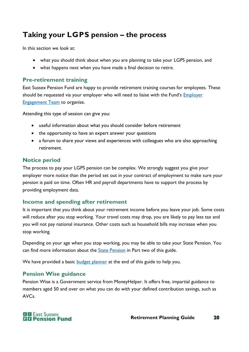## <span id="page-19-0"></span>**Taking your LGPS pension – the process**

In this section we look at:

- what you should think about when you are planning to take your LGPS pension, and
- what happens next when you have made a final decision to retire.

#### **Pre-retirement training**

East Sussex Pension Fund are happy to provide retirement training courses for employees. These should be requested via your employer who will need to liaise with the Fund's Employer [Engagement Team](mailto:employer.engagement@eastsussex.gov.uk) to organise.

Attending this type of session can give you:

- useful information about what you should consider before retirement
- the opportunity to have an expert answer your questions
- a forum to share your views and experiences with colleagues who are also approaching retirement.

#### **Notice period**

The process to pay your LGPS pension can be complex. We strongly suggest you give your employer more notice than the period set out in your contract of employment to make sure your pension is paid on time. Often HR and payroll departments have to support the process by providing employment data.

#### **Income and spending after retirement**

It is important that you think about your retirement income before you leave your job. Some costs will reduce after you stop working. Your travel costs may drop, you are likely to pay less tax and you will not pay national insurance. Other costs such as household bills may increase when you stop working.

Depending on your age when you stop working, you may be able to take your State Pension. You can find more information about the **State Pension** in Part two of this guide.

We have provided a basic **budget planner** at the end of this guide to help you.

#### **Pension Wise guidance**

Pension Wise is a Government service from MoneyHelper. It offers free, impartial guidance to members aged 50 and over on what you can do with your defined contribution savings, such as AVCs.

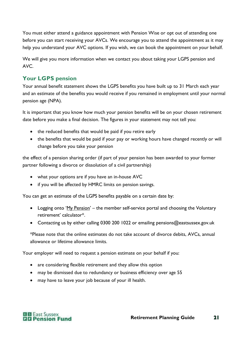You must either attend a guidance appointment with Pension Wise or opt out of attending one before you can start receiving your AVCs. We encourage you to attend the appointment as it may help you understand your AVC options. If you wish, we can book the appointment on your behalf.

We will give you more information when we contact you about taking your LGPS pension and AVC.

#### **Your LGPS pension**

Your annual benefit statement shows the LGPS benefits you have built up to 31 March each year and an estimate of the benefits you would receive if you remained in employment until your normal pension age (NPA).

It is important that you know how much your pension benefits will be on your chosen retirement date before you make a final decision. The figures in your statement may not tell you:

- the reduced benefits that would be paid if you retire early
- the benefits that would be paid if your pay or working hours have changed recently or will change before you take your pension

the effect of a pension sharing order (if part of your pension has been awarded to your former partner following a divorce or dissolution of a civil partnership)

- what your options are if you have an in-house AVC
- if you will be affected by HMRC limits on pension savings.

You can get an estimate of the LGPS benefits payable on a certain date by:

- Logging onto '[My Pension](https://mypension.eastsussex.gov.uk/)' the member self-service portal and choosing the Voluntary retirement' calculator\*.
- Contacting us by either calling 0300 200 1022 or emailing pensions@eastsussex.gov.uk

\*Please note that the online estimates do not take account of divorce debits, AVCs, annual allowance or lifetime allowance limits.

Your employer will need to request a pension estimate on your behalf if you:

- are considering flexible retirement and they allow this option
- may be dismissed due to redundancy or business efficiency over age 55
- may have to leave your job because of your ill health.

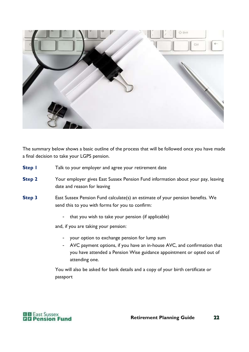

The summary below shows a basic outline of the process that will be followed once you have made a final decision to take your LGPS pension.

- **Step I** Talk to your employer and agree your retirement date
- **Step 2** Your employer gives East Sussex Pension Fund information about your pay, leaving date and reason for leaving
- **Step 3** East Sussex Pension Fund calculate(s) an estimate of your pension benefits. We send this to you with forms for you to confirm:
	- that you wish to take your pension (if applicable)

and, if you are taking your pension:

- your option to exchange pension for lump sum
- AVC payment options, if you have an in-house AVC, and confirmation that you have attended a Pension Wise guidance appointment or opted out of attending one.

You will also be asked for bank details and a copy of your birth certificate or passport

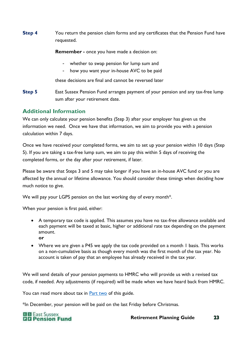**Step 4** You return the pension claim forms and any certificates that the Pension Fund have requested.

**Remember -** once you have made a decision on:

- whether to swap pension for lump sum and
- how you want your in-house AVC to be paid

these decisions are final and cannot be reversed later

**Step 5** East Sussex Pension Fund arranges payment of your pension and any tax-free lump sum after your retirement date.

#### **Additional Information**

We can only calculate your pension benefits (Step 3) after your employer has given us the information we need. Once we have that information, we aim to provide you with a pension calculation within 7 days.

Once we have received your completed forms, we aim to set up your pension within 10 days (Step 5). If you are taking a tax-free lump sum, we aim to pay this within 5 days of receiving the completed forms, or the day after your retirement, if later.

Please be aware that Steps 3 and 5 may take longer if you have an in-house AVC fund or you are affected by the annual or lifetime allowance. You should consider these timings when deciding how much notice to give.

We will pay your LGPS pension on the last working day of every month\*.

When your pension is first paid, either:

- A temporary tax code is applied. This assumes you have no tax-free allowance available and each payment will be taxed at basic, higher or additional rate tax depending on the payment amount. **or**
- Where we are given a P45 we apply the tax code provided on a month 1 basis. This works on a non-cumulative basis as though every month was the first month of the tax year. No account is taken of pay that an employee has already received in the tax year.

We will send details of your pension payments to HMRC who will provide us with a revised tax code, if needed. Any adjustments (if required) will be made when we have heard back from HMRC.

You can read more about tax in **Part two** of this guide.

\*In December, your pension will be paid on the last Friday before Christmas.

**E S** East Sussex **QQ** Pension Fund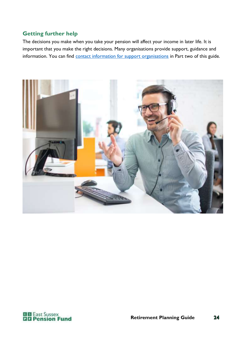#### **Getting further help**

The decisions you make when you take your pension will affect your income in later life. It is important that you make the right decisions. Many organisations provide support, guidance and information. You can find [contact information for support organisations](#page-29-0) in Part two of this guide.



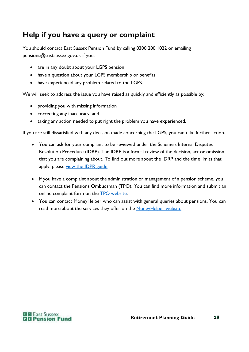## **Help if you have a query or complaint**

You should contact East Sussex Pension Fund by calling 0300 200 1022 or emailing pensions@eastsussex.gov.uk if you:

- are in any doubt about your LGPS pension
- have a question about your LGPS membership or benefits
- have experienced any problem related to the LGPS.

We will seek to address the issue you have raised as quickly and efficiently as possible by:

- providing you with missing information
- correcting any inaccuracy, and
- taking any action needed to put right the problem you have experienced.

If you are still dissatisfied with any decision made concerning the LGPS, you can take further action.

- You can ask for your complaint to be reviewed under the Scheme's Internal Disputes Resolution Procedure (IDRP). The IDRP is a formal review of the decision, act or omission that you are complaining about. To find out more about the IDRP and the time limits that apply, please [view the IDPR guide.](https://www.eastsussexpensionfund.org/media/fwtdmyir/idrp-dispute-procedure-guide.pdf)
- If you have a complaint about the administration or management of a pension scheme, you can contact the Pensions Ombudsman (TPO). You can find more information and submit an online complaint form on the [TPO website.](http://www.pensions-ombudsman.org.uk/)
- You can contact MoneyHelper who can assist with general queries about pensions. You can read more about the services they offer on the [MoneyHelper website.](https://www.moneyhelper.org.uk/en/pensions-and-retirement)

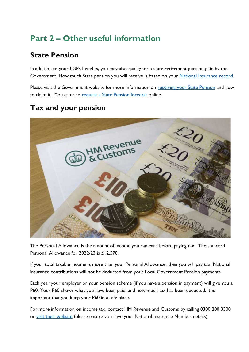## <span id="page-25-1"></span>**Part 2 – Other useful information**

## <span id="page-25-0"></span>**State Pension**

In addition to your LGPS benefits, you may also qualify for a state retirement pension paid by the Government. How much State pension you will receive is based on your [National Insurance record.](https://www.gov.uk/new-state-pension/your-national-insurance-record-and-your-state-pension)

Please visit the Government website for more information on receiving [your State Pension](http://www.gov.uk/new-state-pension/) and how to claim it. You can also [request a State Pension forecast](http://www.gov.uk/check-state-pension) online.

## **Tax and your pension**



The Personal Allowance is the amount of income you can earn before paying tax. The standard Personal Allowance for 2022/23 is £12,570.

If your total taxable income is more than your Personal Allowance, then you will pay tax. National insurance contributions will not be deducted from your Local Government Pension payments.

Each year your employer or your pension scheme (if you have a pension in payment) will give you a P60. Your P60 shows what you have been paid, and how much tax has been deducted. It is important that you keep your P60 in a safe place.

For more information on income tax, contact HM Revenue and Customs by calling 0300 200 3300 or [visit their website](http://www.hmrc.gov.uk/incometax) (please ensure you have your National Insurance Number details):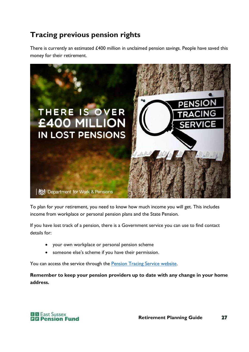## **Tracing previous pension rights**

There is currently an estimated £400 million in unclaimed pension savings. People have saved this money for their retirement.



To plan for your retirement, you need to know how much income you will get. This includes income from workplace or personal pension plans and the State Pension.

If you have lost track of a pension, there is a Government service you can use to find contact details for:

- your own workplace or personal pension scheme
- someone else's scheme if you have their permission.

You can access the service through the [Pension Tracing Service website.](http://www.gov.uk/find-pension-contact-details)

**Remember to keep your pension providers up to date with any change in your home address.**

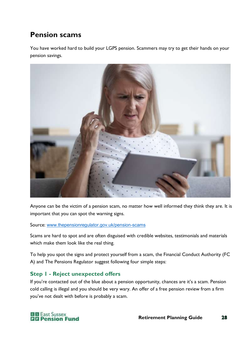## **Pension scams**

You have worked hard to build your LGPS pension. Scammers may try to get their hands on your pension savings.



Anyone can be the victim of a pension scam, no matter how well informed they think they are. It is important that you can spot the warning signs.

Source: [www.thepensionregulator.gov.uk/pension-scams](http://www.thepensionregulator.gov.uk/pension-scams)

Scams are hard to spot and are often disguised with credible websites, testimonials and materials which make them look like the real thing.

To help you spot the signs and protect yourself from a scam, the Financial Conduct Authority (FC A) and The Pensions Regulator suggest following four simple steps:

#### **Step 1 - Reject unexpected offers**

If you're contacted out of the blue about a pension opportunity, chances are it's a scam. Pension cold calling is illegal and you should be very wary. An offer of a free pension review from a firm you've not dealt with before is probably a scam.

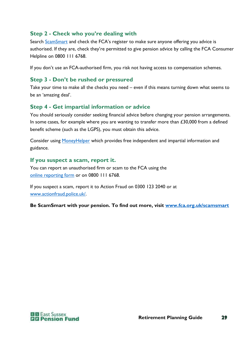#### **Step 2 - Check who you're dealing with**

Search [ScamSmart](https://www.fca.org.uk/scamsmart) and check the FCA's register to make sure anyone offering you advice is authorised. If they are, check they're permitted to give pension advice by calling the FCA Consumer Helpline on 0800 111 6768.

If you don't use an FCA-authorised firm, you risk not having access to compensation schemes.

#### **Step 3 - Don't be rushed or pressured**

Take your time to make all the checks you need – even if this means turning down what seems to be an 'amazing deal'.

#### **Step 4 - Get impartial information or advice**

You should seriously consider seeking financial advice before changing your pension arrangements. In some cases, for example where you are wanting to transfer more than  $£30,000$  from a defined benefit scheme (such as the LGPS), you must obtain this advice.

Consider using [MoneyHelper](https://www.moneyhelper.org.uk/) which provides free independent and impartial information and guidance.

#### **If you suspect a scam, report it.**

You can report an unauthorised firm or scam to the FCA using the online [reporting form](https://www.fca.org.uk/consumers/report-scam-unauthorised-firm) or on 0800 111 6768.

If you suspect a scam, report it to Action Fraud on 0300 123 2040 or at [www.actionfraud.police.uk/.](https://www.actionfraud.police.uk/)

**Be ScamSmart with your pension. To find out more, visit [www.fca.org.uk/scamsmart](http://www.fca.org.uk/scamsmart)**

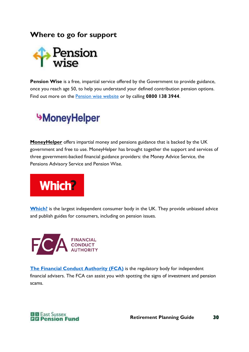<span id="page-29-0"></span>**Where to go for support**



Pension Wise is a free, impartial service offered by the Government to provide guidance, once you reach age 50, to help you understand your defined contribution pension options. Find out more on the [Pension wise website](http://www.pensionwise.gov.uk/) or by calling **0800 138 3944**.

## **MoneyHelper**

**[MoneyHelper](https://www.moneyhelper.org.uk/)** offers impartial money and pensions guidance that is backed by the UK government and free to use. MoneyHelper has brought together the support and services of three government-backed financial guidance providers: the Money Advice Service, the Pensions Advisory Service and Pension Wise.



**[Which?](http://www.which.co.uk/money/pensions-and-retirement)** is the largest independent consumer body in the UK. They provide unbiased advice and publish guides for consumers, including on pension issues.



**[The Financial Conduct Authority \(FCA\)](http://www.fca.org.uk/)** is the regulatory body for independent financial advisers. The FCA can assist you with spotting the signs of investment and pension scams.

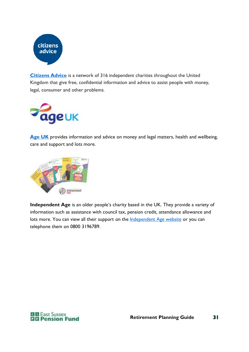

**[Citizens Advice](http://www.citizensadvice.org.uk/)** is a network of 316 independent charities throughout the United Kingdom that give free, confidential information and advice to assist people with money, legal, consumer and other problems.



[Age UK](http://www.ageuk.org.uk/) provides information and advice on money and legal matters, health and wellbeing, care and support and lots more.



**Independent Age** is an older people's charity based in the UK. They provide a variety of information such as assistance with council tax, pension credit, attendance allowance and lots more. You can view all their support on the **Independent Age website** or you can telephone them on 0800 3196789.

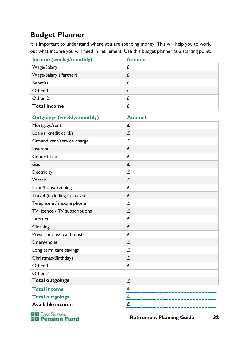## <span id="page-31-0"></span>**Budget Planner**

It is important to understand where you are spending money. This will help you to work out what income you will need in retirement. Use this budget planner as a starting point.

| <b>Income (weekly/monthly)</b> | <b>Amount</b> |
|--------------------------------|---------------|
| Wage/Salary                    |               |
| Wage/Salary (Partner)          |               |
| <b>Benefits</b>                |               |
| Other I                        |               |
| Other 2                        |               |
| <b>Total Income</b>            |               |

| <b>Outgoings (weekly/monthly)</b> | <b>Amount</b> |
|-----------------------------------|---------------|
| Mortgage/rent                     | £             |
| Loan/s, credit card/s             | £             |
| Ground rent/service charge        | £             |
| Insurance                         | £             |
| <b>Council Tax</b>                | £             |
| Gas                               | £             |
| Electricity                       | £             |
| Water                             | £             |
| Food/housekeeping                 | £             |
| Travel (including holidays)       | £             |
| Telephone / mobile phone          | £             |
| TV licence / TV subscriptions     | £             |
| Internet                          | £             |
| Clothing                          | £             |
| Prescriptions/health costs        | £             |
| Emergencies                       | £             |
| Long term care savings            | £             |
| Christmas/Birthdays               | £             |
| Other I                           | £             |
| Other 2                           |               |
| <b>Total outgoings</b>            | £             |
| <b>Total income</b>               | £             |
| <b>Total outgoings</b>            | £             |
| Available income                  | £             |

**Els East Sussex<br><b>Els Pension Fund** 

 **Retirement Planning Guide**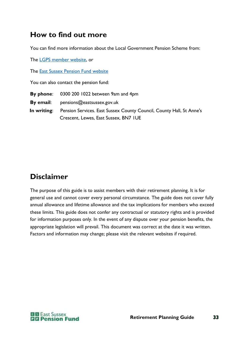## **How to find out more**

You can find more information about the Local Government Pension Scheme from:

The [LGPS member website,](http://www.lgpsmember.org/) or

The [East Sussex Pension Fund website](https://www.eastsussexpensionfund.org/)

You can also contact the pension fund:

**By phone**: 0300 200 1022 between 9am and 4pm

**By email**: pensions@eastsussex.gov.uk

**In writing:** Pension Services. East Sussex County Council, County Hall, St Anne's Crescent, Lewes, East Sussex, BN7 1UE

## **Disclaimer**

The purpose of this guide is to assist members with their retirement planning. It is for general use and cannot cover every personal circumstance. The guide does not cover fully annual allowance and lifetime allowance and the tax implications for members who exceed these limits. This guide does not confer any contractual or statutory rights and is provided for information purposes only. In the event of any dispute over your pension benefits, the appropriate legislation will prevail. This document was correct at the date it was written. Factors and information may change; please visit the relevant websites if required.